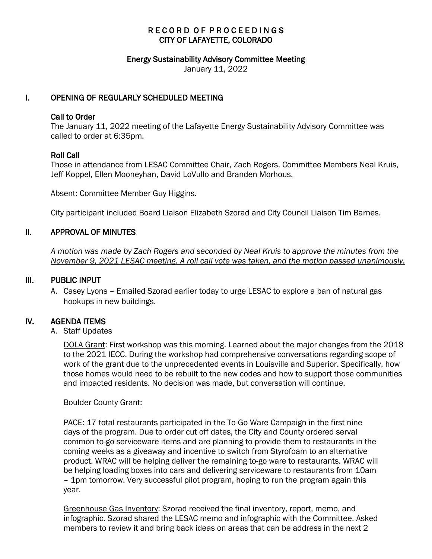# RECORD OF PROCEEDINGS CITY OF LAFAYETTE, COLORADO

#### Energy Sustainability Advisory Committee Meeting

January 11, 2022

### I. OPENING OF REGULARLY SCHEDULED MEETING

### Call to Order

The January 11, 2022 meeting of the Lafayette Energy Sustainability Advisory Committee was called to order at 6:35pm.

### Roll Call

Those in attendance from LESAC Committee Chair, Zach Rogers, Committee Members Neal Kruis, Jeff Koppel, Ellen Mooneyhan, David LoVullo and Branden Morhous.

Absent: Committee Member Guy Higgins.

City participant included Board Liaison Elizabeth Szorad and City Council Liaison Tim Barnes.

### II. APPROVAL OF MINUTES

 *A motion was made by Zach Rogers and seconded by Neal Kruis to approve the minutes from the November 9, 2021 LESAC meeting. A roll call vote was taken, and the motion passed unanimously.*

#### III. PUBLIC INPUT

A. Casey Lyons – Emailed Szorad earlier today to urge LESAC to explore a ban of natural gas hookups in new buildings.

### IV. AGENDA ITEMS

#### A. Staff Updates

DOLA Grant: First workshop was this morning. Learned about the major changes from the 2018 to the 2021 IECC. During the workshop had comprehensive conversations regarding scope of work of the grant due to the unprecedented events in Louisville and Superior. Specifically, how those homes would need to be rebuilt to the new codes and how to support those communities and impacted residents. No decision was made, but conversation will continue.

#### Boulder County Grant:

PACE: 17 total restaurants participated in the To-Go Ware Campaign in the first nine days of the program. Due to order cut off dates, the City and County ordered serval common to-go serviceware items and are planning to provide them to restaurants in the coming weeks as a giveaway and incentive to switch from Styrofoam to an alternative product. WRAC will be helping deliver the remaining to-go ware to restaurants. WRAC will be helping loading boxes into cars and delivering serviceware to restaurants from 10am – 1pm tomorrow. Very successful pilot program, hoping to run the program again this year.

Greenhouse Gas Inventory: Szorad received the final inventory, report, memo, and infographic. Szorad shared the LESAC memo and infographic with the Committee. Asked members to review it and bring back ideas on areas that can be address in the next 2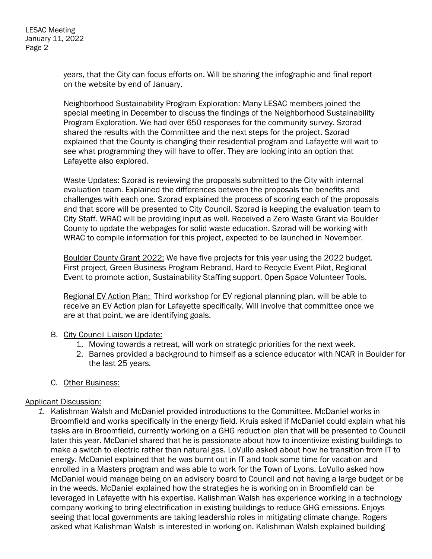years, that the City can focus efforts on. Will be sharing the infographic and final report on the website by end of January.

Neighborhood Sustainability Program Exploration: Many LESAC members joined the special meeting in December to discuss the findings of the Neighborhood Sustainability Program Exploration. We had over 650 responses for the community survey. Szorad shared the results with the Committee and the next steps for the project. Szorad explained that the County is changing their residential program and Lafayette will wait to see what programming they will have to offer. They are looking into an option that Lafayette also explored.

Waste Updates: Szorad is reviewing the proposals submitted to the City with internal evaluation team. Explained the differences between the proposals the benefits and challenges with each one. Szorad explained the process of scoring each of the proposals and that score will be presented to City Council. Szorad is keeping the evaluation team to City Staff. WRAC will be providing input as well. Received a Zero Waste Grant via Boulder County to update the webpages for solid waste education. Szorad will be working with WRAC to compile information for this project, expected to be launched in November.

Boulder County Grant 2022: We have five projects for this year using the 2022 budget. First project, Green Business Program Rebrand, Hard-to-Recycle Event Pilot, Regional Event to promote action, Sustainability Staffing support, Open Space Volunteer Tools.

Regional EV Action Plan: Third workshop for EV regional planning plan, will be able to receive an EV Action plan for Lafayette specifically. Will involve that committee once we are at that point, we are identifying goals.

## B. City Council Liaison Update:

- 1. Moving towards a retreat, will work on strategic priorities for the next week.
- 2. Barnes provided a background to himself as a science educator with NCAR in Boulder for the last 25 years.
- C. Other Business:

## Applicant Discussion:

*1.* Kalishman Walsh and McDaniel provided introductions to the Committee. McDaniel works in Broomfield and works specifically in the energy field. Kruis asked if McDaniel could explain what his tasks are in Broomfield, currently working on a GHG reduction plan that will be presented to Council later this year. McDaniel shared that he is passionate about how to incentivize existing buildings to make a switch to electric rather than natural gas. LoVullo asked about how he transition from IT to energy. McDaniel explained that he was burnt out in IT and took some time for vacation and enrolled in a Masters program and was able to work for the Town of Lyons. LoVullo asked how McDaniel would manage being on an advisory board to Council and not having a large budget or be in the weeds. McDaniel explained how the strategies he is working on in Broomfield can be leveraged in Lafayette with his expertise. Kalishman Walsh has experience working in a technology company working to bring electrification in existing buildings to reduce GHG emissions. Enjoys seeing that local governments are taking leadership roles in mitigating climate change. Rogers asked what Kalishman Walsh is interested in working on. Kalishman Walsh explained building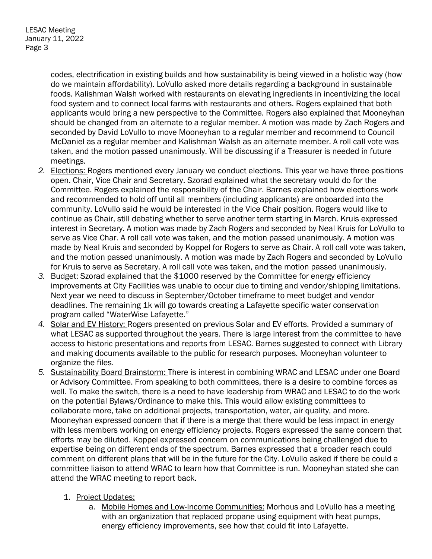codes, electrification in existing builds and how sustainability is being viewed in a holistic way (how do we maintain affordability). LoVullo asked more details regarding a background in sustainable foods. Kalishman Walsh worked with restaurants on elevating ingredients in incentivizing the local food system and to connect local farms with restaurants and others. Rogers explained that both applicants would bring a new perspective to the Committee. Rogers also explained that Mooneyhan should be changed from an alternate to a regular member. A motion was made by Zach Rogers and seconded by David LoVullo to move Mooneyhan to a regular member and recommend to Council McDaniel as a regular member and Kalishman Walsh as an alternate member. A roll call vote was taken, and the motion passed unanimously. Will be discussing if a Treasurer is needed in future meetings.

- *2.* Elections: Rogers mentioned every January we conduct elections. This year we have three positions open. Chair, Vice Chair and Secretary. Szorad explained what the secretary would do for the Committee. Rogers explained the responsibility of the Chair. Barnes explained how elections work and recommended to hold off until all members (including applicants) are onboarded into the community. LoVullo said he would be interested in the Vice Chair position. Rogers would like to continue as Chair, still debating whether to serve another term starting in March. Kruis expressed interest in Secretary. A motion was made by Zach Rogers and seconded by Neal Kruis for LoVullo to serve as Vice Char. A roll call vote was taken, and the motion passed unanimously. A motion was made by Neal Kruis and seconded by Koppel for Rogers to serve as Chair. A roll call vote was taken, and the motion passed unanimously. A motion was made by Zach Rogers and seconded by LoVullo for Kruis to serve as Secretary. A roll call vote was taken, and the motion passed unanimously.
- *3.* Budget: Szorad explained that the \$1000 reserved by the Committee for energy efficiency improvements at City Facilities was unable to occur due to timing and vendor/shipping limitations. Next year we need to discuss in September/October timeframe to meet budget and vendor deadlines. The remaining 1k will go towards creating a Lafayette specific water conservation program called "WaterWise Lafayette."
- *4.* Solar and EV History: Rogers presented on previous Solar and EV efforts. Provided a summary of what LESAC as supported throughout the years. There is large interest from the committee to have access to historic presentations and reports from LESAC. Barnes suggested to connect with Library and making documents available to the public for research purposes. Mooneyhan volunteer to organize the files.
- *5.* Sustainability Board Brainstorm: There is interest in combining WRAC and LESAC under one Board or Advisory Committee. From speaking to both committees, there is a desire to combine forces as well. To make the switch, there is a need to have leadership from WRAC and LESAC to do the work on the potential Bylaws/Ordinance to make this. This would allow existing committees to collaborate more, take on additional projects, transportation, water, air quality, and more. Mooneyhan expressed concern that if there is a merge that there would be less impact in energy with less members working on energy efficiency projects. Rogers expressed the same concern that efforts may be diluted. Koppel expressed concern on communications being challenged due to expertise being on different ends of the spectrum. Barnes expressed that a broader reach could comment on different plans that will be in the future for the City. LoVullo asked if there be could a committee liaison to attend WRAC to learn how that Committee is run. Mooneyhan stated she can attend the WRAC meeting to report back.
	- 1. Project Updates:
		- a. Mobile Homes and Low-Income Communities: Morhous and LoVullo has a meeting with an organization that replaced propane using equipment with heat pumps, energy efficiency improvements, see how that could fit into Lafayette.